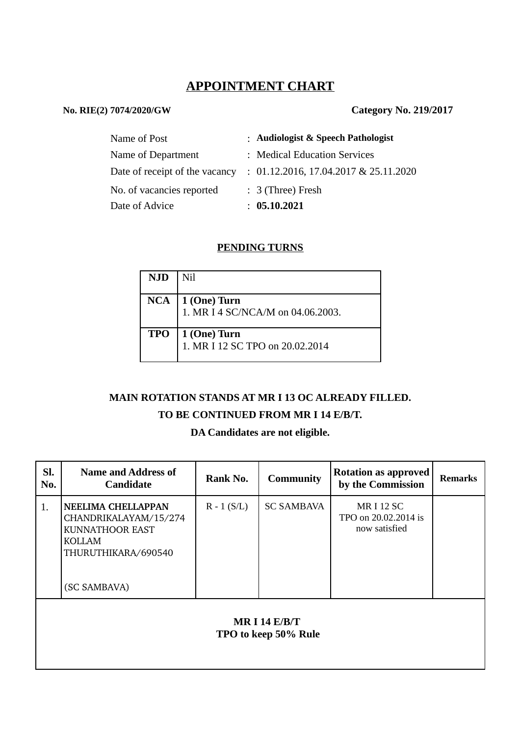# **APPOINTMENT CHART**

#### **No. RIE(2) 7074/2020/GW Category No. 219/2017**

| Name of Post                   | : Audiologist & Speech Pathologist    |
|--------------------------------|---------------------------------------|
| Name of Department             | : Medical Education Services          |
| Date of receipt of the vacancy | : 01.12.2016, 17.04.2017 & 25.11.2020 |
| No. of vacancies reported      | $: 3$ (Three) Fresh                   |
| Date of Advice                 | : 05.10.2021                          |

#### **PENDING TURNS**

| <b>NJD</b> | Nil                               |
|------------|-----------------------------------|
|            |                                   |
|            | $NCA \mid 1$ (One) Turn           |
|            | 1. MR I 4 SC/NCA/M on 04.06.2003. |
|            |                                   |
| <b>TPO</b> | 1 (One) Turn                      |
|            | 1. MR I 12 SC TPO on 20.02.2014   |
|            |                                   |

## **MAIN ROTATION STANDS AT MR I 13 OC ALREADY FILLED.**

### **TO BE CONTINUED FROM MR I 14 E/B/T.**

# **DA Candidates are not eligible.**

| SI.<br>No.                              | <b>Name and Address of</b><br><b>Candidate</b>                                                                                | Rank No.      | <b>Community</b>  | <b>Rotation as approved</b><br>by the Commission        | <b>Remarks</b> |  |  |  |
|-----------------------------------------|-------------------------------------------------------------------------------------------------------------------------------|---------------|-------------------|---------------------------------------------------------|----------------|--|--|--|
| 1.                                      | <b>NEELIMA CHELLAPPAN</b><br>CHANDRIKALAYAM/15/274<br>KUNNATHOOR EAST<br><b>KOLLAM</b><br>THURUTHIKARA/690540<br>(SC SAMBAVA) | $R - 1 (S/L)$ | <b>SC SAMBAVA</b> | <b>MRI12SC</b><br>TPO on 20.02.2014 is<br>now satisfied |                |  |  |  |
| MR I 14 $E/B/T$<br>TPO to keep 50% Rule |                                                                                                                               |               |                   |                                                         |                |  |  |  |